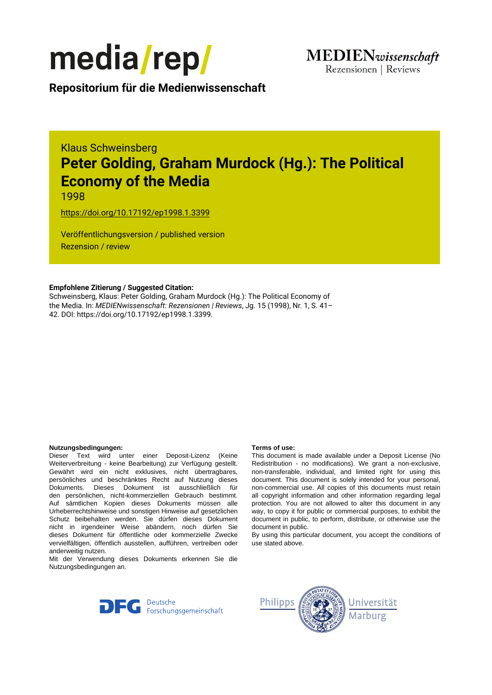

**Repositorium für die [Medienwissenschaft](https://mediarep.org)**

# Klaus Schweinsberg **Peter Golding, Graham Murdock (Hg.): The Political Economy of the Media**

1998

<https://doi.org/10.17192/ep1998.1.3399>

Veröffentlichungsversion / published version Rezension / review

### **Empfohlene Zitierung / Suggested Citation:**

Schweinsberg, Klaus: Peter Golding, Graham Murdock (Hg.): The Political Economy of the Media. In: *MEDIENwissenschaft: Rezensionen | Reviews*, Jg. 15 (1998), Nr. 1, S. 41– 42. DOI: https://doi.org/10.17192/ep1998.1.3399.

#### **Nutzungsbedingungen: Terms of use:**

Dieser Text wird unter einer Deposit-Lizenz (Keine Weiterverbreitung - keine Bearbeitung) zur Verfügung gestellt. Gewährt wird ein nicht exklusives, nicht übertragbares, persönliches und beschränktes Recht auf Nutzung dieses Dokuments. Dieses Dokument ist ausschließlich für den persönlichen, nicht-kommerziellen Gebrauch bestimmt. Auf sämtlichen Kopien dieses Dokuments müssen alle Urheberrechtshinweise und sonstigen Hinweise auf gesetzlichen Schutz beibehalten werden. Sie dürfen dieses Dokument nicht in irgendeiner Weise abändern, noch dürfen Sie dieses Dokument für öffentliche oder kommerzielle Zwecke vervielfältigen, öffentlich ausstellen, aufführen, vertreiben oder anderweitig nutzen.

Mit der Verwendung dieses Dokuments erkennen Sie die Nutzungsbedingungen an.

This document is made available under a Deposit License (No Redistribution - no modifications). We grant a non-exclusive, non-transferable, individual, and limited right for using this document. This document is solely intended for your personal, non-commercial use. All copies of this documents must retain all copyright information and other information regarding legal protection. You are not allowed to alter this document in any way, to copy it for public or commercial purposes, to exhibit the document in public, to perform, distribute, or otherwise use the document in public.

By using this particular document, you accept the conditions of use stated above.



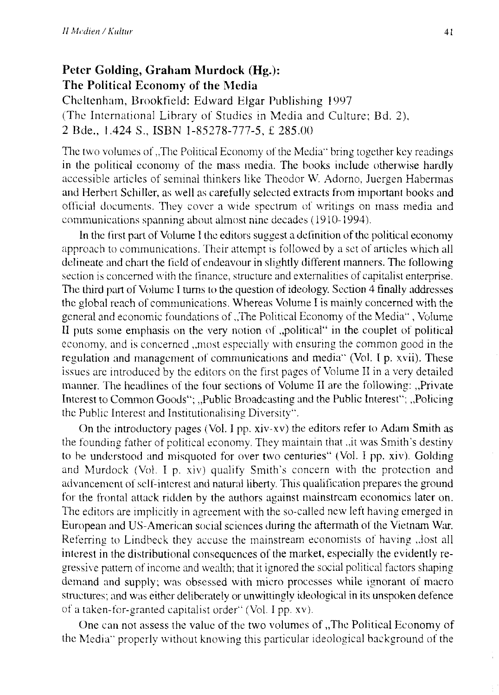## **Peter Golding, Graham Murdock (Hg.): The Political Economy of the Media**

Cheltenham, Brookfield: Edward Elgar Publishing 1997 (The International Library of Studies in Media and Culture; Bd. 2), 2 Bde., 1.424 S., ISBN 1-85278-777-5, £ 285.00

The two volumes of "The Political Economy of the Media" bring together key readings in the political economy of the mass media. The books include otherwise hardly accessible articles of seminal thinkers Iike Theodor W. Adorno, Juergen Habermas and Herbert Schiller, as weil as carefully selected extracts from important books and official documents. They cover a wide spectrum of writings on mass media and communications spanning about almost nine decades ( 1910-1994).

In the first part of Volume 1 the editors suggest a definition of the political economy approach to communications. Their attempt is followed by a set of articles which all delineate and chart the field of endeavour in slightly different manners. The following section is concemed with the finance, structure and extemalities of capitalist enterprise. The third part of Volume I turns to the question of ideology. Section 4 finally addresses the global reach of communications. Whereas Volume I is mainly concerned with the general and economic foundations of "The Political Economy of the Media", Volume II puts some emphasis on the very notion of "political" in the couplet of political economy, and is concerned , most especially with ensuring the common good in the regulation and management of communications and media" (Vol. I p. xvii). These issues are introduced by the editors on the first pages of Volume II in a very detailed manner. The headlines of the four sections of Volume II are the following: ,,Private Interest to Common Goods"; ,,Public Broadcasting and the Public Interest"; ,,Policing the Public Interest and lnstitutionalising Diversity".

On the introductory pages (Vol. I pp. xiv-xv) the editors refer to Adam Smith as the founding father of political economy. They maintain that ., it was Smith's destiny to be understood and misquoted for over two centuries" (Vol. I pp. xiv). Golding and Murdock (Vol. I p. xiv) qualify Smith's concern with the protection and advancement of self-interest and natural Iiberty. This qualification prepares the ground for the frontal attack ridden by the authors against mainstream econornics later on. The editors are implicitly in agreement with the so-called new left having emerged in European and US-American social sciences during the aftermath of the Vietnam War. Referring to Lindbeck they accuse the mainstream economists of having ,,lost all interest in the distributional consequences of the market, especially the evidently regressive pattem of income and wealth; that it ignored the social political factors shaping demand and supply; was obsessed with micro processes while ignorant of macro structures; and was either deliberately or unwittingly ideological in its unspoken defence of a taken-for-granted capitalist order" (Vol. I pp. xv).

One can not assess the value of the two volumes of "The Political Economy of the Media" properly without knowing this particular ideological background of the